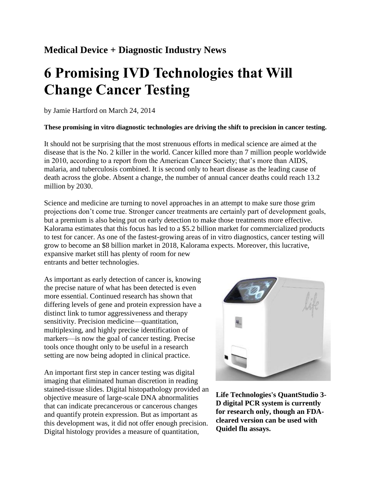## **Medical Device + Diagnostic Industry News**

# **6 Promising IVD Technologies that Will Change Cancer Testing**

by Jamie Hartford on March 24, 2014

#### **These promising in vitro diagnostic technologies are driving the shift to precision in cancer testing.**

It should not be surprising that the most strenuous efforts in medical science are aimed at the disease that is the No. 2 killer in the world. Cancer killed more than 7 million people worldwide in 2010, according to a report from the American Cancer Society; that's more than AIDS, malaria, and tuberculosis combined. It is second only to heart disease as the leading cause of death across the globe. Absent a change, the number of annual cancer deaths could reach 13.2 million by 2030.

Science and medicine are turning to novel approaches in an attempt to make sure those grim projections don't come true. Stronger cancer treatments are certainly part of development goals, but a premium is also being put on early detection to make those treatments more effective. Kalorama estimates that this focus has led to a \$5.2 billion market for commercialized products to test for cancer. As one of the fastest-growing areas of in vitro diagnostics, cancer testing will grow to become an \$8 billion market in 2018, Kalorama expects. Moreover, this lucrative, expansive market still has plenty of room for new entrants and better technologies.

As important as early detection of cancer is, knowing the precise nature of what has been detected is even more essential. Continued research has shown that differing levels of gene and protein expression have a distinct link to tumor aggressiveness and therapy sensitivity. Precision medicine—quantitation, multiplexing, and highly precise identification of markers—is now the goal of cancer testing. Precise tools once thought only to be useful in a research setting are now being adopted in clinical practice.

An important first step in cancer testing was digital imaging that eliminated human discretion in reading stained-tissue slides. Digital histopathology provided an objective measure of large-scale DNA abnormalities that can indicate precancerous or cancerous changes and quantify protein expression. But as important as this development was, it did not offer enough precision. Digital histology provides a measure of quantitation,



**Life Technologies's QuantStudio 3- D digital PCR system is currently for research only, though an FDAcleared version can be used with Quidel flu assays.**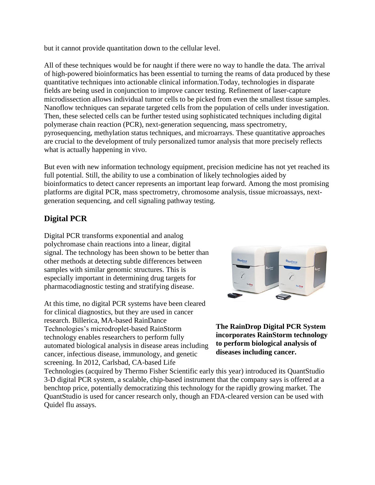but it cannot provide quantitation down to the cellular level.

All of these techniques would be for naught if there were no way to handle the data. The arrival of high-powered bioinformatics has been essential to turning the reams of data produced by these quantitative techniques into actionable clinical information.Today, technologies in disparate fields are being used in conjunction to improve cancer testing. Refinement of laser-capture microdissection allows individual tumor cells to be picked from even the smallest tissue samples. Nanoflow techniques can separate targeted cells from the population of cells under investigation. Then, these selected cells can be further tested using sophisticated techniques including digital polymerase chain reaction (PCR), next-generation sequencing, mass spectrometry, pyrosequencing, methylation status techniques, and microarrays. These quantitative approaches are crucial to the development of truly personalized tumor analysis that more precisely reflects what is actually happening in vivo.

But even with new information technology equipment, precision medicine has not yet reached its full potential. Still, the ability to use a combination of likely technologies aided by bioinformatics to detect cancer represents an important leap forward. Among the most promising platforms are digital PCR, mass spectrometry, chromosome analysis, tissue microassays, nextgeneration sequencing, and cell signaling pathway testing.

## **Digital PCR**

Digital PCR transforms exponential and analog polychromase chain reactions into a linear, digital signal. The technology has been shown to be better than other methods at detecting subtle differences between samples with similar genomic structures. This is especially important in determining drug targets for pharmacodiagnostic testing and stratifying disease.

At this time, no digital PCR systems have been cleared for clinical diagnostics, but they are used in cancer research. Billerica, MA-based RainDance Technologies's microdroplet-based RainStorm technology enables researchers to perform fully automated biological analysis in disease areas including cancer, infectious disease, immunology, and genetic screening. In 2012, Carlsbad, CA-based Life



**The RainDrop Digital PCR System incorporates RainStorm technology to perform biological analysis of diseases including cancer.**

Technologies (acquired by Thermo Fisher Scientific early this year) introduced its QuantStudio 3-D digital PCR system, a scalable, chip-based instrument that the company says is offered at a benchtop price, potentially democratizing this technology for the rapidly growing market. The QuantStudio is used for cancer research only, though an FDA-cleared version can be used with Quidel flu assays.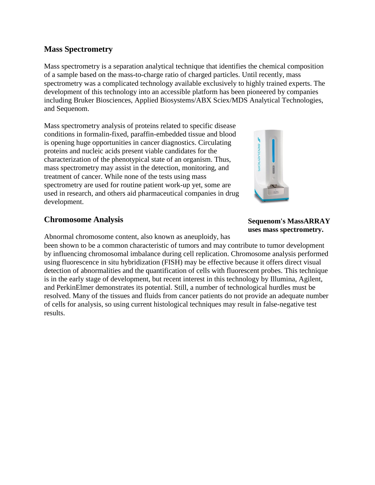## **Mass Spectrometry**

Mass spectrometry is a separation analytical technique that identifies the chemical composition of a sample based on the mass-to-charge ratio of charged particles. Until recently, mass spectrometry was a complicated technology available exclusively to highly trained experts. The development of this technology into an accessible platform has been pioneered by companies including Bruker Biosciences, Applied Biosystems/ABX Sciex/MDS Analytical Technologies, and Sequenom.

Mass spectrometry analysis of proteins related to specific disease conditions in formalin-fixed, paraffin-embedded tissue and blood is opening huge opportunities in cancer diagnostics. Circulating proteins and nucleic acids present viable candidates for the characterization of the phenotypical state of an organism. Thus, mass spectrometry may assist in the detection, monitoring, and treatment of cancer. While none of the tests using mass spectrometry are used for routine patient work-up yet, some are used in research, and others aid pharmaceutical companies in drug development.

## **Chromosome Analysis**

Abnormal chromosome content, also known as aneuploidy, has

been shown to be a common characteristic of tumors and may contribute to tumor development by influencing chromosomal imbalance during cell replication. Chromosome analysis performed using fluorescence in situ hybridization (FISH) may be effective because it offers direct visual detection of abnormalities and the quantification of cells with fluorescent probes. This technique is in the early stage of development, but recent interest in this technology by Illumina, Agilent, and PerkinElmer demonstrates its potential. Still, a number of technological hurdles must be resolved. Many of the tissues and fluids from cancer patients do not provide an adequate number of cells for analysis, so using current histological techniques may result in false-negative test results.



#### **Sequenom's MassARRAY uses mass spectrometry.**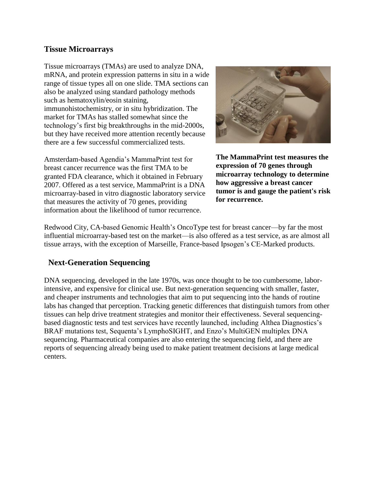### **Tissue Microarrays**

Tissue microarrays (TMAs) are used to analyze DNA, mRNA, and protein expression patterns in situ in a wide range of tissue types all on one slide. TMA sections can also be analyzed using standard pathology methods such as hematoxylin/eosin staining, immunohistochemistry, or in situ hybridization. The market for TMAs has stalled somewhat since the technology's first big breakthroughs in the mid-2000s, but they have received more attention recently because there are a few successful commercialized tests.

Amsterdam-based Agendia's MammaPrint test for breast cancer recurrence was the first TMA to be granted FDA clearance, which it obtained in February 2007. Offered as a test service, MammaPrint is a DNA microarray-based in vitro diagnostic laboratory service that measures the activity of 70 genes, providing information about the likelihood of tumor recurrence.



**The MammaPrint test measures the expression of 70 genes through microarray technology to determine how aggressive a breast cancer tumor is and gauge the patient's risk for recurrence.**

Redwood City, CA-based Genomic Health's OncoType test for breast cancer—by far the most influential microarray-based test on the market—is also offered as a test service, as are almost all tissue arrays, with the exception of Marseille, France-based Ipsogen's CE-Marked products.

## **Next-Generation Sequencing**

DNA sequencing, developed in the late 1970s, was once thought to be too cumbersome, laborintensive, and expensive for clinical use. But next-generation sequencing with smaller, faster, and cheaper instruments and technologies that aim to put sequencing into the hands of routine labs has changed that perception. Tracking genetic differences that distinguish tumors from other tissues can help drive treatment strategies and monitor their effectiveness. Several sequencingbased diagnostic tests and test services have recently launched, including Althea Diagnostics's BRAF mutations test, Sequenta's LymphoSIGHT, and Enzo's MultiGEN multiplex DNA sequencing. Pharmaceutical companies are also entering the sequencing field, and there are reports of sequencing already being used to make patient treatment decisions at large medical centers.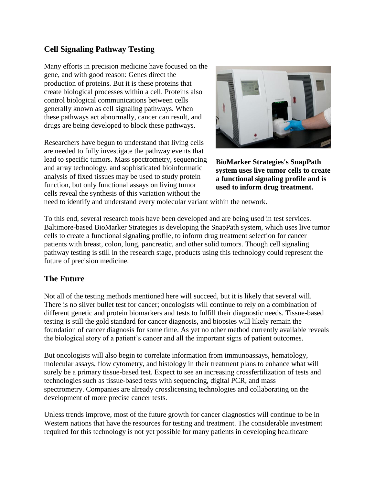## **Cell Signaling Pathway Testing**

Many efforts in precision medicine have focused on the gene, and with good reason: Genes direct the production of proteins. But it is these proteins that create biological processes within a cell. Proteins also control biological communications between cells generally known as cell signaling pathways. When these pathways act abnormally, cancer can result, and drugs are being developed to block these pathways.

Researchers have begun to understand that living cells are needed to fully investigate the pathway events that lead to specific tumors. Mass spectrometry, sequencing and array technology, and sophisticated bioinformatic analysis of fixed tissues may be used to study protein function, but only functional assays on living tumor cells reveal the synthesis of this variation without the



**BioMarker Strategies's SnapPath system uses live tumor cells to create a functional signaling profile and is used to inform drug treatment.**

need to identify and understand every molecular variant within the network.

To this end, several research tools have been developed and are being used in test services. Baltimore-based BioMarker Strategies is developing the SnapPath system, which uses live tumor cells to create a functional signaling profile, to inform drug treatment selection for cancer patients with breast, colon, lung, pancreatic, and other solid tumors. Though cell signaling pathway testing is still in the research stage, products using this technology could represent the future of precision medicine.

## **The Future**

Not all of the testing methods mentioned here will succeed, but it is likely that several will. There is no silver bullet test for cancer; oncologists will continue to rely on a combination of different genetic and protein biomarkers and tests to fulfill their diagnostic needs. Tissue-based testing is still the gold standard for cancer diagnosis, and biopsies will likely remain the foundation of cancer diagnosis for some time. As yet no other method currently available reveals the biological story of a patient's cancer and all the important signs of patient outcomes.

But oncologists will also begin to correlate information from immunoassays, hematology, molecular assays, flow cytometry, and histology in their treatment plans to enhance what will surely be a primary tissue-based test. Expect to see an increasing crossfertilization of tests and technologies such as tissue-based tests with sequencing, digital PCR, and mass spectrometry. Companies are already crosslicensing technologies and collaborating on the development of more precise cancer tests.

Unless trends improve, most of the future growth for cancer diagnostics will continue to be in Western nations that have the resources for testing and treatment. The considerable investment required for this technology is not yet possible for many patients in developing healthcare